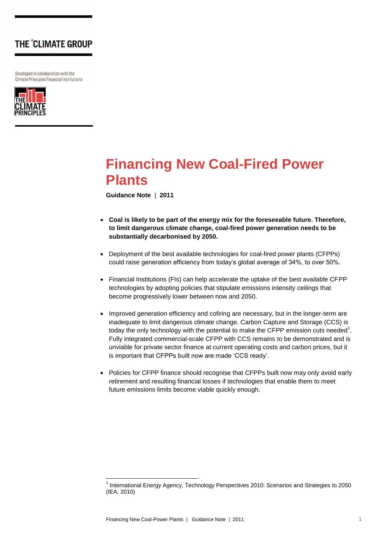Developed in collaboration with the Climate Principles Financial Institutions



# **Financing New Coal-Fired Power Plants**

**Guidance Note** | **2011**

- **Coal is likely to be part of the energy mix for the foreseeable future. Therefore, to limit dangerous climate change, coal-fired power generation needs to be substantially decarbonised by 2050.**
- Deployment of the best available technologies for coal-fired power plants (CFPPs) could raise generation efficiency from today"s global average of 34%, to over 50%.
- Financial Institutions (FIs) can help accelerate the uptake of the best available CFPP technologies by adopting policies that stipulate emissions intensity ceilings that become progressively lower between now and 2050.
- Improved generation efficiency and cofiring are necessary, but in the longer-term are inadequate to limit dangerous climate change. Carbon Capture and Storage (CCS) is today the only technology with the potential to make the CFPP emission cuts needed<sup>1</sup>. Fully integrated commercial-scale CFPP with CCS remains to be demonstrated and is unviable for private sector finance at current operating costs and carbon prices, but it is important that CFPPs built now are made "CCS ready".
- Policies for CFPP finance should recognise that CFPPs built now may only avoid early retirement and resulting financial losses if technologies that enable them to meet future emissions limits become viable quickly enough.

1

<sup>&</sup>lt;sup>1</sup> International Energy Agency, Technology Perspectives 2010: Scenarios and Strategies to 2050 (IEA, 2010)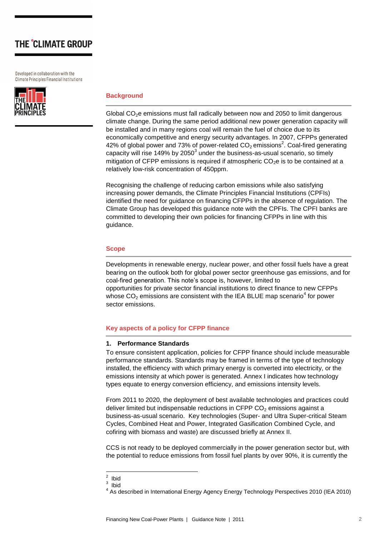Developed in collaboration with the Climate Principles Financial Institutions



### **Background**

Global  $CO<sub>2</sub>e$  emissions must fall radically between now and 2050 to limit dangerous climate change. During the same period additional new power generation capacity will be installed and in many regions coal will remain the fuel of choice due to its economically competitive and energy security advantages. In 2007, CFPPs generated 42% of global power and 73% of power-related  $CO_2$  emissions<sup>2</sup>. Coal-fired generating capacity will rise 149% by 2050 $^3$  under the business-as-usual scenario, so timely mitigation of CFPP emissions is required if atmospheric  $CO<sub>2</sub>e$  is to be contained at a relatively low-risk concentration of 450ppm.

Recognising the challenge of reducing carbon emissions while also satisfying increasing power demands, the Climate Principles Financial Institutions (CPFIs) identified the need for guidance on financing CFPPs in the absence of regulation. The Climate Group has developed this guidance note with the CPFIs. The CPFI banks are committed to developing their own policies for financing CFPPs in line with this guidance.

#### **Scope**

Developments in renewable energy, nuclear power, and other fossil fuels have a great bearing on the outlook both for global power sector greenhouse gas emissions, and for coal-fired generation. This note"s scope is, however, limited to opportunities for private sector financial institutions to direct finance to new CFPPs whose  $CO<sub>2</sub>$  emissions are consistent with the IEA BLUE map scenario<sup>4</sup> for power sector emissions.

#### **Key aspects of a policy for CFPP finance**

#### **1. Performance Standards**

To ensure consistent application, policies for CFPP finance should include measurable performance standards. Standards may be framed in terms of the type of technology installed, the efficiency with which primary energy is converted into electricity, or the emissions intensity at which power is generated. Annex I indicates how technology types equate to energy conversion efficiency, and emissions intensity levels.

From 2011 to 2020, the deployment of best available technologies and practices could deliver limited but indispensable reductions in CFPP  $CO<sub>2</sub>$  emissions against a business-as-usual scenario. Key technologies (Super- and Ultra Super-critical Steam Cycles, Combined Heat and Power, Integrated Gasification Combined Cycle, and cofiring with biomass and waste) are discussed briefly at Annex II.

CCS is not ready to be deployed commercially in the power generation sector but, with the potential to reduce emissions from fossil fuel plants by over 90%, it is currently the

 $\frac{2}{1}$  Ibid

<sup>3</sup> Ibid

<sup>4</sup> As described in International Energy Agency Energy Technology Perspectives 2010 (IEA 2010)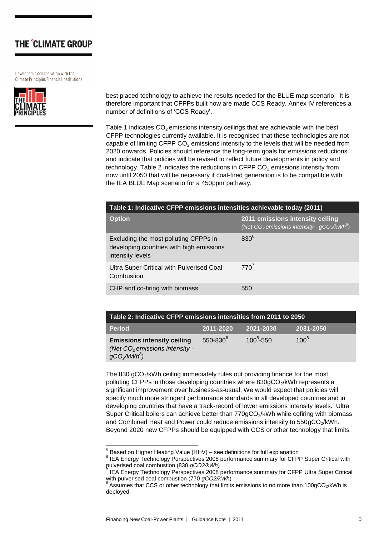Developed in collaboration with the Climate Principles Financial Institutions



best placed technology to achieve the results needed for the BLUE map scenario. It is therefore important that CFPPs built now are made CCS Ready. Annex IV references a number of definitions of "CCS Ready".

Table 1 indicates  $CO<sub>2</sub>$  emissions intensity ceilings that are achievable with the best CFPP technologies currently available. It is recognised that these technologies are not capable of limiting CFPP  $CO<sub>2</sub>$  emissions intensity to the levels that will be needed from 2020 onwards. Policies should reference the long-term goals for emissions reductions and indicate that policies will be revised to reflect future developments in policy and technology. Table 2 indicates the reductions in CFPP  $CO<sub>2</sub>$  emissions intensity from now until 2050 that will be necessary if coal-fired generation is to be compatible with the IEA BLUE Map scenario for a 450ppm pathway.

| Table 1: Indicative CFPP emissions intensities achievable today (2011)                                |                                                                                                   |  |  |  |
|-------------------------------------------------------------------------------------------------------|---------------------------------------------------------------------------------------------------|--|--|--|
| <b>Option</b>                                                                                         | 2011 emissions intensity ceiling<br>$\sqrt{(Net CO_2 \text{ emissions intensity} - gCO_2/kWh^5)}$ |  |  |  |
| Excluding the most polluting CFPPs in<br>developing countries with high emissions<br>intensity levels | $830^{6}$                                                                                         |  |  |  |
| Ultra Super Critical with Pulverised Coal<br>Combustion                                               | $770^7$                                                                                           |  |  |  |
| CHP and co-firing with biomass                                                                        | 550                                                                                               |  |  |  |

| Table 2: Indicative CFPP emissions intensities from 2011 to 2050                        |                      |               |           |  |  |  |
|-----------------------------------------------------------------------------------------|----------------------|---------------|-----------|--|--|--|
| <b>Period</b>                                                                           | 2011-2020            | 2021-2030     | 2031-2050 |  |  |  |
| <b>Emissions intensity ceiling</b><br>(Net $CO2$ emissions intensity -<br>$gCO_2/kWh^8$ | 550-830 <sup>6</sup> | $100^8 - 550$ | $100^8$   |  |  |  |

The 830 gCO<sub>2</sub>/kWh ceiling immediately rules out providing finance for the most polluting CFPPs in those developing countries where 830gCO<sub>2</sub>/kWh represents a significant improvement over business-as-usual. We would expect that policies will specify much more stringent performance standards in all developed countries and in developing countries that have a track-record of lower emissions intensity levels. Ultra Super Critical boilers can achieve better than  $770gCO<sub>2</sub>/kWh$  while cofiring with biomass and Combined Heat and Power could reduce emissions intensity to 550gCO<sub>2</sub>/kWh. Beyond 2020 new CFPPs should be equipped with CCS or other technology that limits

 5 Based on Higher Heating Value (HHV) – see definitions for full explanation

<sup>&</sup>lt;sup>6</sup> IEA Energy Technology Perspectives 2008 performance summary for CFPP Super Critical with pulverised coal combustion (830 *gCO2/kWh)* 7

IEA Energy Technology Perspectives 2008 performance summary for CFPP Ultra Super Critical with pulverised coal combustion (770 *gCO2/kWh*)

 $8$  Assumes that CCS or other technology that limits emissions to no more than 100gCO<sub>2</sub>/kWh is deployed.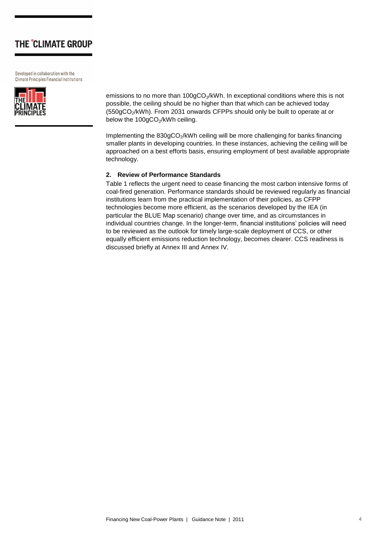Developed in collaboration with the **Climate Principles Financial Institutions** 



emissions to no more than 100gCO<sub>2</sub>/kWh. In exceptional conditions where this is not possible, the ceiling should be no higher than that which can be achieved today (550gCO2/kWh). From 2031 onwards CFPPs should only be built to operate at or below the  $100gCO<sub>2</sub>/kWh$  ceiling.

Implementing the  $830gCO<sub>2</sub>/kWh$  ceiling will be more challenging for banks financing smaller plants in developing countries. In these instances, achieving the ceiling will be approached on a best efforts basis, ensuring employment of best available appropriate technology.

### **2. Review of Performance Standards**

Table 1 reflects the urgent need to cease financing the most carbon intensive forms of coal-fired generation. Performance standards should be reviewed regularly as financial institutions learn from the practical implementation of their policies, as CFPP technologies become more efficient, as the scenarios developed by the IEA (in particular the BLUE Map scenario) change over time, and as circumstances in individual countries change. In the longer-term, financial institutions" policies will need to be reviewed as the outlook for timely large-scale deployment of CCS, or other equally efficient emissions reduction technology, becomes clearer. CCS readiness is discussed briefly at Annex III and Annex IV.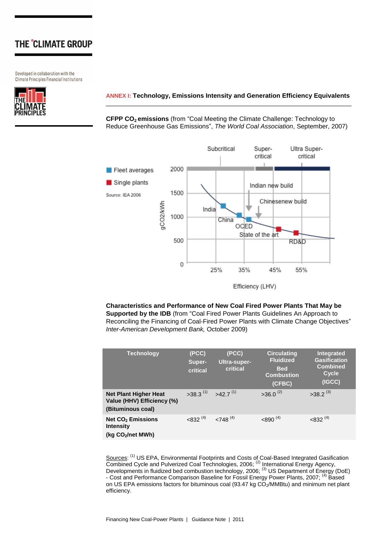Developed in collaboration with the Climate Principles Financial Institutions



### **ANNEX I: Technology, Emissions Intensity and Generation Efficiency Equivalents**

**CFPP CO2 emissions** (from "Coal Meeting the Climate Challenge: Technology to Reduce Greenhouse Gas Emissions", *The World Coal Association*, September, 2007)



Efficiency (LHV)

**Characteristics and Performance of New Coal Fired Power Plants That May be Supported by the IDB** (from "Coal Fired Power Plants Guidelines An Approach to Reconciling the Financing of Coal-Fired Power Plants with Climate Change Objectives" *Inter-American Development Bank,* October 2009)

| <b>Technology</b>                                                                        | (PCC)<br>Super-<br>critical | (PCC)<br><b>Ultra-super-</b><br>critical | <b>Circulating</b><br><b>Fluidized</b><br><b>Bed</b><br><b>Combustion</b><br>(CFBC) | <b>Integrated</b><br><b>Gasification</b><br><b>Combined</b><br>Cycle<br>(IGCC) |
|------------------------------------------------------------------------------------------|-----------------------------|------------------------------------------|-------------------------------------------------------------------------------------|--------------------------------------------------------------------------------|
| <b>Net Plant Higher Heat</b><br>Value (HHV) Efficiency (%)<br>(Bituminous coal)          | $>38.3$ <sup>(1)</sup>      | $>42.7$ <sup>(1)</sup>                   | $>36.0^{(2)}$                                                                       | $>38.2^{(3)}$                                                                  |
| <b>Net CO<sub>2</sub></b> Emissions<br><b>Intensity</b><br>(kg CO <sub>2</sub> /net MWh) | $< 832^{(4)}$               | $<748^{(4)}$                             | $<$ 890 <sup>(4)</sup>                                                              | $<832^{(4)}$                                                                   |

Sources: <sup>(1)</sup> US EPA, Environmental Footprints and Costs of Coal-Based Integrated Gasification Combined Cycle and Pulverized Coal Technologies, 2006; <sup>(2)</sup> International Energy Agency, Developments in fluidized bed combustion technology, 2006; <sup>(3)</sup> US Department of Energy (DoE) - Cost and Performance Comparison Baseline for Fossil Energy Power Plants, 2007; <sup>(4)</sup> Based on US EPA emissions factors for bituminous coal (93.47 kg CO<sub>2</sub>/MMBtu) and minimum net plant efficiency.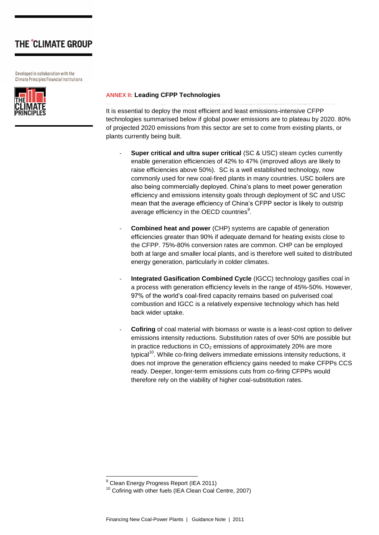Developed in collaboration with the Climate Principles Financial Institutions



### **ANNEX II: Leading CFPP Technologies**

It is essential to deploy the most efficient and least emissions-intensive CFPP technologies summarised below if global power emissions are to plateau by 2020. 80% of projected 2020 emissions from this sector are set to come from existing plants, or plants currently being built.

- **Super critical and ultra super critical (SC & USC) steam cycles currently** enable generation efficiencies of 42% to 47% (improved alloys are likely to raise efficiencies above 50%). SC is a well established technology, now commonly used for new coal-fired plants in many countries. USC boilers are also being commercially deployed. China"s plans to meet power generation efficiency and emissions intensity goals through deployment of SC and USC mean that the average efficiency of China"s CFPP sector is likely to outstrip average efficiency in the OECD countries $9$ .
- **Combined heat and power** (CHP) systems are capable of generation efficiencies greater than 90% if adequate demand for heating exists close to the CFPP. 75%-80% conversion rates are common. CHP can be employed both at large and smaller local plants, and is therefore well suited to distributed energy generation, particularly in colder climates.
- **Integrated Gasification Combined Cycle** (IGCC) technology gasifies coal in a process with generation efficiency levels in the range of 45%-50%. However, 97% of the world"s coal-fired capacity remains based on pulverised coal combustion and IGCC is a relatively expensive technology which has held back wider uptake.
- Cofiring of coal material with biomass or waste is a least-cost option to deliver emissions intensity reductions. Substitution rates of over 50% are possible but in practice reductions in  $CO<sub>2</sub>$  emissions of approximately 20% are more typical<sup>10</sup>. While co-firing delivers immediate emissions intensity reductions, it does not improve the generation efficiency gains needed to make CFPPs CCS ready. Deeper, longer-term emissions cuts from co-firing CFPPs would therefore rely on the viability of higher coal-substitution rates.

1

<sup>&</sup>lt;sup>9</sup> Clean Energy Progress Report (IEA 2011)

<sup>10</sup> Cofiring with other fuels (IEA Clean Coal Centre, 2007)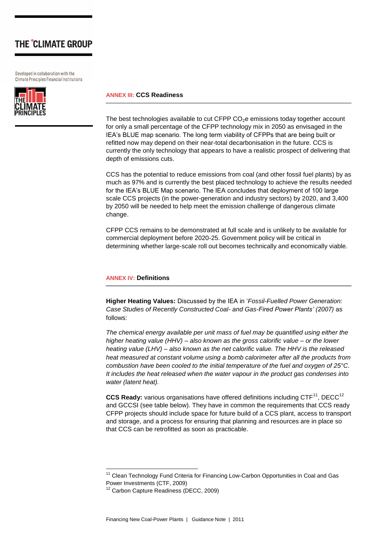Developed in collaboration with the Climate Principles Financial Institutions



### **ANNEX III: CCS Readiness**

The best technologies available to cut CFPP  $CO<sub>2</sub>e$  emissions today together account for only a small percentage of the CFPP technology mix in 2050 as envisaged in the IEA"s BLUE map scenario. The long term viability of CFPPs that are being built or refitted now may depend on their near-total decarbonisation in the future. CCS is currently the only technology that appears to have a realistic prospect of delivering that depth of emissions cuts.

CCS has the potential to reduce emissions from coal (and other fossil fuel plants) by as much as 97% and is currently the best placed technology to achieve the results needed for the IEA"s BLUE Map scenario. The IEA concludes that deployment of 100 large scale CCS projects (in the power-generation and industry sectors) by 2020, and 3,400 by 2050 will be needed to help meet the emission challenge of dangerous climate change.

CFPP CCS remains to be demonstrated at full scale and is unlikely to be available for commercial deployment before 2020-25. Government policy will be critical in determining whether large-scale roll out becomes technically and economically viable.

#### **ANNEX IV: Definitions**

**Higher Heating Values:** Discussed by the IEA in "*Fossil-Fuelled Power Generation: Case Studies of Recently Constructed Coal- and Gas-Fired Power Plants' (2007)* as follows:

*The chemical energy available per unit mass of fuel may be quantified using either the higher heating value (HHV) – also known as the gross calorific value – or the lower heating value (LHV) – also known as the net calorific value. The HHV is the released heat measured at constant volume using a bomb calorimeter after all the products from combustion have been cooled to the initial temperature of the fuel and oxygen of 25°C. It includes the heat released when the water vapour in the product gas condenses into water (latent heat).* 

**CCS Ready:** various organisations have offered definitions including CTF<sup>11</sup>, DECC<sup>12</sup> and GCCSI (see table below). They have in common the requirements that CCS ready CFPP projects should include space for future build of a CCS plant, access to transport and storage, and a process for ensuring that planning and resources are in place so that CCS can be retrofitted as soon as practicable.

1

<sup>&</sup>lt;sup>11</sup> Clean Technology Fund Criteria for Financing Low-Carbon Opportunities in Coal and Gas Power Investments (CTF, 2009)

<sup>12</sup> Carbon Capture Readiness (DECC, 2009)